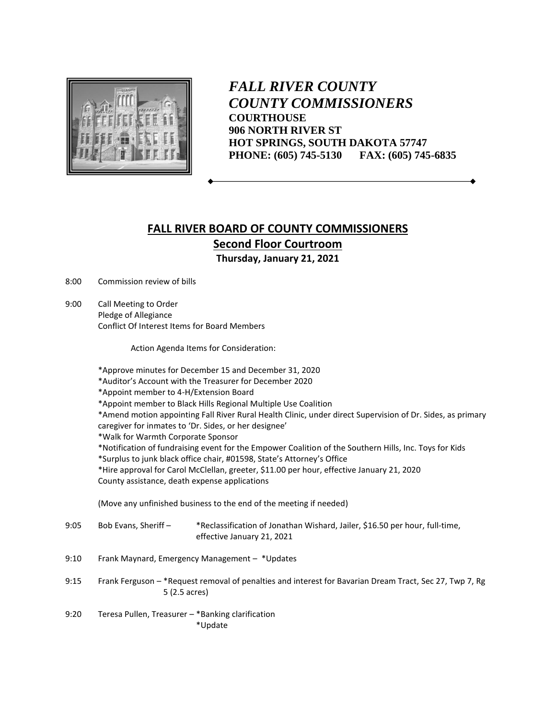

*FALL RIVER COUNTY COUNTY COMMISSIONERS* **COURTHOUSE 906 NORTH RIVER ST HOT SPRINGS, SOUTH DAKOTA 57747 PHONE: (605) 745-5130 FAX: (605) 745-6835**

## **FALL RIVER BOARD OF COUNTY COMMISSIONERS Second Floor Courtroom**

**Thursday, January 21, 2021**

8:00 Commission review of bills

9:00 Call Meeting to Order Pledge of Allegiance Conflict Of Interest Items for Board Members

Action Agenda Items for Consideration:

\*Approve minutes for December 15 and December 31, 2020 \*Auditor's Account with the Treasurer for December 2020 \*Appoint member to 4-H/Extension Board \*Appoint member to Black Hills Regional Multiple Use Coalition \*Amend motion appointing Fall River Rural Health Clinic, under direct Supervision of Dr. Sides, as primary caregiver for inmates to 'Dr. Sides, or her designee' \*Walk for Warmth Corporate Sponsor \*Notification of fundraising event for the Empower Coalition of the Southern Hills, Inc. Toys for Kids \*Surplus to junk black office chair, #01598, State's Attorney's Office \*Hire approval for Carol McClellan, greeter, \$11.00 per hour, effective January 21, 2020 County assistance, death expense applications (Move any unfinished business to the end of the meeting if needed) 9:05 Bob Evans, Sheriff – \*Reclassification of Jonathan Wishard, Jailer, \$16.50 per hour, full-time, effective January 21, 2021 9:10 Frank Maynard, Emergency Management – \*Updates 9:15 Frank Ferguson – \*Request removal of penalties and interest for Bavarian Dream Tract, Sec 27, Twp 7, Rg 5 (2.5 acres) 9:20 Teresa Pullen, Treasurer – \*Banking clarification \*Update